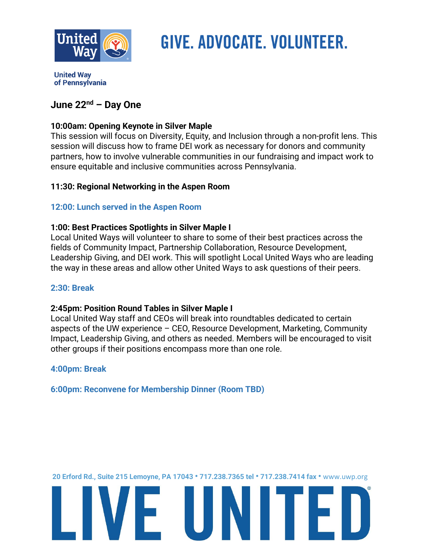

# GIVE. ADVOCATE. VOLUNTEER.

**United Wav** of Pennsylvania

## **June 22nd – Day One**

## **10:00am: Opening Keynote in Silver Maple**

This session will focus on Diversity, Equity, and Inclusion through a non-profit lens. This session will discuss how to frame DEI work as necessary for donors and community partners, how to involve vulnerable communities in our fundraising and impact work to ensure equitable and inclusive communities across Pennsylvania.

## **11:30: Regional Networking in the Aspen Room**

## **12:00: Lunch served in the Aspen Room**

## **1:00: Best Practices Spotlights in Silver Maple I**

Local United Ways will volunteer to share to some of their best practices across the fields of Community Impact, Partnership Collaboration, Resource Development, Leadership Giving, and DEI work. This will spotlight Local United Ways who are leading the way in these areas and allow other United Ways to ask questions of their peers.

## **2:30: Break**

## **2:45pm: Position Round Tables in Silver Maple I**

Local United Way staff and CEOs will break into roundtables dedicated to certain aspects of the UW experience – CEO, Resource Development, Marketing, Community Impact, Leadership Giving, and others as needed. Members will be encouraged to visit other groups if their positions encompass more than one role.

## **4:00pm: Break**

**6:00pm: Reconvene for Membership Dinner (Room TBD)** 

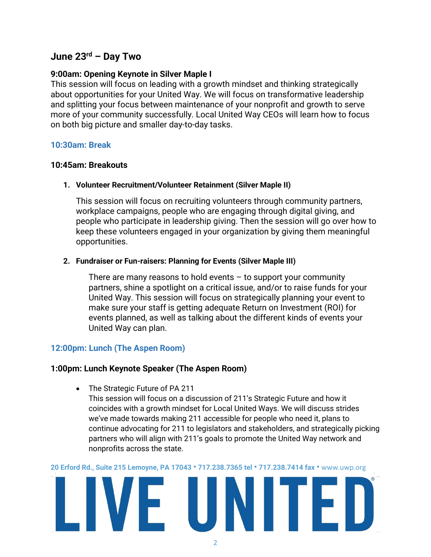# **June 23rd – Day Two**

#### **9:00am: Opening Keynote in Silver Maple I**

This session will focus on leading with a growth mindset and thinking strategically about opportunities for your United Way. We will focus on transformative leadership and splitting your focus between maintenance of your nonprofit and growth to serve more of your community successfully. Local United Way CEOs will learn how to focus on both big picture and smaller day-to-day tasks.

#### **10:30am: Break**

#### **10:45am: Breakouts**

#### **1. Volunteer Recruitment/Volunteer Retainment (Silver Maple II)**

This session will focus on recruiting volunteers through community partners, workplace campaigns, people who are engaging through digital giving, and people who participate in leadership giving. Then the session will go over how to keep these volunteers engaged in your organization by giving them meaningful opportunities.

#### **2. Fundraiser or Fun-raisers: Planning for Events (Silver Maple III)**

There are many reasons to hold events  $-$  to support your community partners, shine a spotlight on a critical issue, and/or to raise funds for your United Way. This session will focus on strategically planning your event to make sure your staff is getting adequate Return on Investment (ROI) for events planned, as well as talking about the different kinds of events your United Way can plan.

## **12:00pm: Lunch (The Aspen Room)**

#### **1:00pm: Lunch Keynote Speaker (The Aspen Room)**

• The Strategic Future of PA 211

This session will focus on a discussion of 211's Strategic Future and how it coincides with a growth mindset for Local United Ways. We will discuss strides we've made towards making 211 accessible for people who need it, plans to continue advocating for 211 to legislators and stakeholders, and strategically picking partners who will align with 211's goals to promote the United Way network and nonprofits across the state.

**20 Erford Rd., Suite 215 Lemoyne, PA 17043 • 717.238.7365 tel • 717.238.7414 fax •** [www.uwp.org](http://www.uwp.org/)

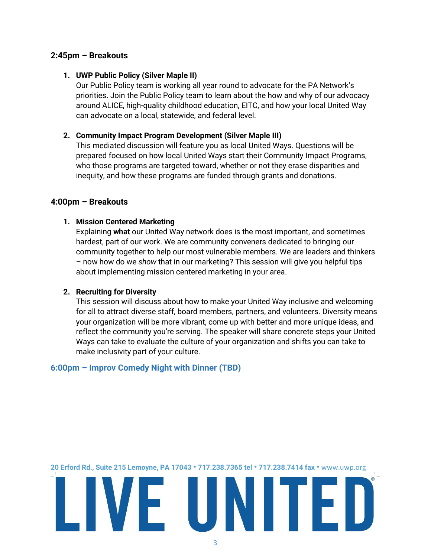#### **2:45pm – Breakouts**

#### **1. UWP Public Policy (Silver Maple II)**

Our Public Policy team is working all year round to advocate for the PA Network's priorities. Join the Public Policy team to learn about the how and why of our advocacy around ALICE, high-quality childhood education, EITC, and how your local United Way can advocate on a local, statewide, and federal level.

#### **2. Community Impact Program Development (Silver Maple III)**

This mediated discussion will feature you as local United Ways. Questions will be prepared focused on how local United Ways start their Community Impact Programs, who those programs are targeted toward, whether or not they erase disparities and inequity, and how these programs are funded through grants and donations.

#### **4:00pm – Breakouts**

#### **1. Mission Centered Marketing**

Explaining **what** our United Way network does is the most important, and sometimes hardest, part of our work. We are community conveners dedicated to bringing our community together to help our most vulnerable members. We are leaders and thinkers – now how do we *show* that in our marketing? This session will give you helpful tips about implementing mission centered marketing in your area.

#### **2. Recruiting for Diversity**

This session will discuss about how to make your United Way inclusive and welcoming for all to attract diverse staff, board members, partners, and volunteers. Diversity means your organization will be more vibrant, come up with better and more unique ideas, and reflect the community you're serving. The speaker will share concrete steps your United Ways can take to evaluate the culture of your organization and shifts you can take to make inclusivity part of your culture.

#### **6:00pm – Improv Comedy Night with Dinner (TBD)**